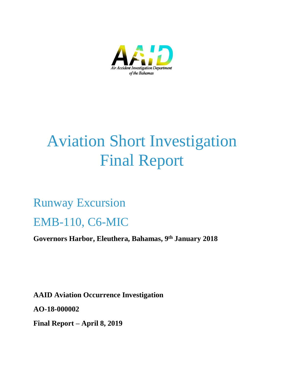

# Aviation Short Investigation Final Report

## Runway Excursion

## EMB-110, C6-MIC

**Governors Harbor, Eleuthera, Bahamas, 9 th January 2018**

**AAID Aviation Occurrence Investigation AO-18-000002 Final Report – April 8, 2019**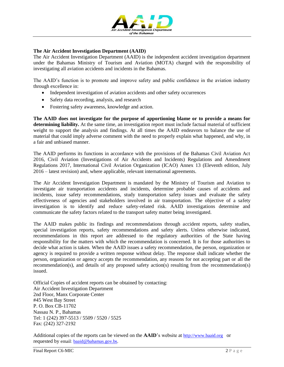

#### **The Air Accident Investigation Department (AAID)**

The Air Accident Investigation Department (AAID) is the independent accident investigation department under the Bahamas Ministry of Tourism and Aviation (MOTA) charged with the responsibility of investigating all aviation accidents and incidents in the Bahamas.

The AAID's function is to promote and improve safety and public confidence in the aviation industry through excellence in:

- Independent investigation of aviation accidents and other safety occurrences
- Safety data recording, analysis, and research
- Fostering safety awareness, knowledge and action.

**The AAID does not investigate for the purpose of apportioning blame or to provide a means for determining liability.** At the same time, an investigation report must include factual material of sufficient weight to support the analysis and findings. At all times the AAID endeavors to balance the use of material that could imply adverse comment with the need to properly explain what happened, and why, in a fair and unbiased manner.

The AAID performs its functions in accordance with the provisions of the Bahamas Civil Aviation Act 2016, Civil Aviation (Investigations of Air Accidents and Incidents) Regulations and Amendment Regulations 2017, International Civil Aviation Organization (ICAO) Annex 13 (Eleventh edition, July 2016 – latest revision) and, where applicable, relevant international agreements.

The Air Accident Investigation Department is mandated by the Ministry of Tourism and Aviation to investigate air transportation accidents and incidents, determine probable causes of accidents and incidents, issue safety recommendations, study transportation safety issues and evaluate the safety effectiveness of agencies and stakeholders involved in air transportation. The objective of a safety investigation is to identify and reduce safety-related risk. AAID investigations determine and communicate the safety factors related to the transport safety matter being investigated.

The AAID makes public its findings and recommendations through accident reports, safety studies, special investigation reports, safety recommendations and safety alerts. Unless otherwise indicated, recommendations in this report are addressed to the regulatory authorities of the State having responsibility for the matters with which the recommendation is concerned. It is for those authorities to decide what action is taken. When the AAID issues a safety recommendation, the person, organization or agency is required to provide a written response without delay. The response shall indicate whether the person, organization or agency accepts the recommendation, any reasons for not accepting part or all the recommendation(s), and details of any proposed safety action(s) resulting from the recommendation(s) issued.

Official Copies of accident reports can be obtained by contacting: Air Accident Investigation Department 2nd Floor, Manx Corporate Center #45 West Bay Street P. O. Box CB-11702 Nassau N. P., Bahamas Tel: 1 (242) 397-5513 / 5509 / 5520 / 5525 Fax: (242) 327-2192

Additional copies of the reports can be viewed on the **AAID**'s website at [http://www.baaid.org](http://www.baaid.org/) or requested by email: [baaid@bahamas.gov.bs.](mailto:baaid@bahamas.gov.bs)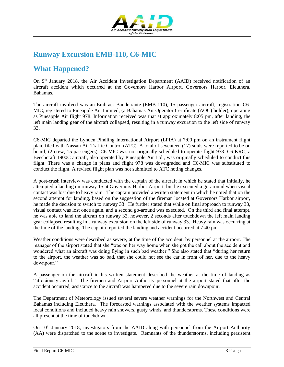

## **Runway Excursion EMB-110, C6-MIC**

## **What Happened?**

On 9<sup>th</sup> January 2018, the Air Accident Investigation Department (AAID) received notification of an aircraft accident which occurred at the Governors Harbor Airport, Governors Harbor, Eleuthera, Bahamas.

The aircraft involved was an Embraer Bandeirante (EMB-110), 15 passenger aircraft, registration C6- MIC, registered to Pineapple Air Limited, (a Bahamas Air Operator Certificate (AOC) holder), operating as Pineapple Air flight 978. Information received was that at approximately 8:05 pm, after landing, the left main landing gear of the aircraft collapsed, resulting in a runway excursion to the left side of runway 33.

C6-MIC departed the Lynden Pindling International Airport (LPIA) at 7:00 pm on an instrument flight plan, filed with Nassau Air Traffic Control (ATC). A total of seventeen (17) souls were reported to be on board, (2 crew, 15 passengers). C6-MIC was not originally scheduled to operate flight 978. C6-KRC, a Beechcraft 1900C aircraft, also operated by Pineapple Air Ltd., was originally scheduled to conduct this flight. There was a change in plans and flight 978 was downgraded and C6-MIC was substituted to conduct the flight. A revised flight plan was not submitted to ATC noting changes.

A post-crash interview was conducted with the captain of the aircraft in which he stated that initially, he attempted a landing on runway 15 at Governors Harbor Airport, but he executed a go-around when visual contact was lost due to heavy rain. The captain provided a written statement in which he noted that on the second attempt for landing, based on the suggestion of the fireman located at Governors Harbor airport, he made the decision to switch to runway 33. He further stated that while on final approach to runway 33, visual contact was lost once again, and a second go-around was executed. On the third and final attempt, he was able to land the aircraft on runway 33, however, 2 seconds after touchdown the left main landing gear collapsed resulting in a runway excursion on the left side of runway 33. Heavy rain was occurring at the time of the landing. The captain reported the landing and accident occurred at 7:40 pm.

Weather conditions were described as severe, at the time of the accident, by personnel at the airport. The manager of the airport stated that she "was on her way home when she got the call about the accident and wondered what an aircraft was doing flying in such bad weather." She also stated that "during her return to the airport, the weather was so bad, that she could not see the car in front of her, due to the heavy downpour."

A passenger on the aircraft in his written statement described the weather at the time of landing as "atrociously awful." The firemen and Airport Authority personnel at the airport stated that after the accident occurred, assistance to the aircraft was hampered due to the severe rain downpour.

The Department of Meteorology issued several severe weather warnings for the Northwest and Central Bahamas including Eleuthera. The forecasted warnings associated with the weather systems impacted local conditions and included heavy rain showers, gusty winds, and thunderstorms. These conditions were all present at the time of touchdown.

On  $10<sup>th</sup>$  January 2018, investigators from the AAID along with personnel from the Airport Authority (AA) were dispatched to the scene to investigate. Remnants of the thunderstorms, including persistent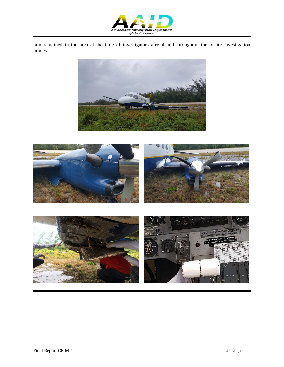

rain remained in the area at the time of investigators arrival and throughout the onsite investigation process.



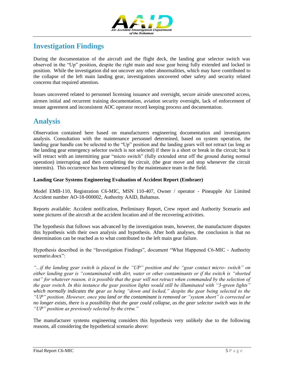

## **Investigation Findings**

During the documentation of the aircraft and the flight deck, the landing gear selector switch was observed in the "Up" position, despite the right main and nose gear being fully extended and locked in position. While the investigation did not uncover any other abnormalities, which may have contributed to the collapse of the left main landing gear, investigations uncovered other safety and security related concerns that required attention.

Issues uncovered related to personnel licensing issuance and oversight, secure airside unescorted access, airmen initial and recurrent training documentation, aviation security oversight, lack of enforcement of tenant agreement and inconsistent AOC operator record keeping process and documentation.

## **Analysis**

Observation contained here based on manufacturers engineering documentation and investigators analysis. Consultation with the maintenance personnel determined, based on system operation, the landing gear handle can be selected to the "Up" position and the landing gears will not retract (as long as the landing gear emergency selector switch is not selected) if there is a short or break in the circuit; but it will retract with an intermitting gear "micro switch" (fully extended strut off the ground during normal operation) interrupting and then completing the circuit, (the gear move and stop whenever the circuit intermits). This occurrence has been witnessed by the maintenance team in the field.

#### **Landing Gear Systems Engineering Evaluation of Accident Report (Embraer)**

Model EMB-110, Registration C6-MIC, MSN 110-407, Owner / operator - Pineapple Air Limited Accident number AO-18-000002, Authority AAID, Bahamas.

Reports available: Accident notification, Preliminary Report, Crew report and Authority Scenario and some pictures of the aircraft at the accident location and of the recovering activities.

The hypothesis that follows was advanced by the investigation team, however, the manufacturer disputes this hypothesis with their own analysis and hypothesis. After both analyses, the conclusion is that no determination can be reached as to what contributed to the left main gear failure.

Hypothesis described in the "Investigation Findings", document "What Happened C6-MIC - Authority scenario.docx":

*"...if the landing gear switch is placed in the "UP" position and the "gear contact micro- switch" on either landing gear is "contaminated with dirt, water or other contaminants or if the switch is "shorted out" for whatever reason, it is possible that the gear will not retract when commanded by the selection of the gear switch. In this instance the gear position lights would still be illuminated with "3-green lights" which normally indicates the gear as being "down and locked," despite the gear being selected to the "UP" position. However, once you land or the contaminant is removed or "system short" is corrected or no longer exists, there is a possibility that the gear could collapse, as the gear selector switch was in the "UP" position as previously selected by the crew."*

The manufacturer systems engineering considers this hypothesis very unlikely due to the following reasons, all considering the hypothetical scenario above: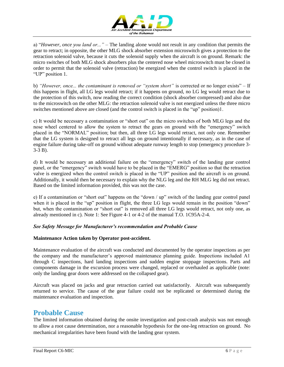

a) "*However, once you land or..."* – The landing alone would not result in any condition that permits the gear to retract; in opposite, the other MLG shock absorber extension microswitch gives a protection to the retraction solenoid valve, because it cuts the solenoid supply when the aircraft is on ground. Remark: the micro switches of both MLG shock absorbers plus the centered nose wheel microswitch must be closed in order to permit that the solenoid valve (retraction) be energized when the control switch is placed in the "UP" position 1.

b) *"However, once... the contaminant is removed or "system short"* is corrected or no longer exists" – If this happens in flight, all LG legs would retract; if it happens on ground, no LG leg would retract due to the protection of this switch, now reading the correct condition (shock absorber compressed) and also due to the microswitch on the other MLG: the retraction solenoid valve is not energized unless the three micro switches mentioned above are closed (and the control switch is placed in the "up" position)1.

c) It would be necessary a contamination or "short out" on the micro switches of both MLG legs and the nose wheel centered to allow the system to retract the gears on ground with the "emergency" switch placed in the "NORMAL" position; but then, all three LG legs would retract, not only one. Remember that the LG system is designed to retract all legs on ground intentionally if necessary, as in the case of engine failure during take-off on ground without adequate runway length to stop (emergency procedure 3- 3-3 B).

d) It would be necessary an additional failure on the "emergency" switch of the landing gear control panel, or the "emergency" switch would have to be placed in the "EMERG" position so that the retraction valve is energized when the control switch is placed in the "UP" position and the aircraft is on ground. Additionally, it would then be necessary to explain why the NLG leg and the RH MLG leg did not retract. Based on the limited information provided, this was not the case.

e) If a contamination or "short out" happens on the "down / up" switch of the landing gear control panel when it is placed in the "up" position in flight, the three LG legs would remain in the position "down" but, when the contamination or "short out" is removed all three LG legs would retract, not only one, as already mentioned in c). Note 1: See Figure 4-1 or 4-2 of the manual T.O. 1C95A-2-4.

#### *See Safety Message for Manufacturer's recommendation and Probable Cause*

#### **Maintenance Action taken by Operator post-accident.**

Maintenance evaluation of the aircraft was conducted and documented by the operator inspections as per the company and the manufacturer's approved maintenance planning guide. Inspections included A1 through C inspections, hard landing inspections and sudden engine stoppage inspections. Parts and components damage in the excursion process were changed, replaced or overhauled as applicable (note: only the landing gear doors were addressed on the collapsed gear).

Aircraft was placed on jacks and gear retraction carried out satisfactorily. Aircraft was subsequently returned to service. The cause of the gear failure could not be replicated or determined during the maintenance evaluation and inspection.

## **Probable Cause**

The limited information obtained during the onsite investigation and post-crash analysis was not enough to allow a root cause determination, nor a reasonable hypothesis for the one-leg retraction on ground. No mechanical irregularities have been found with the landing gear system.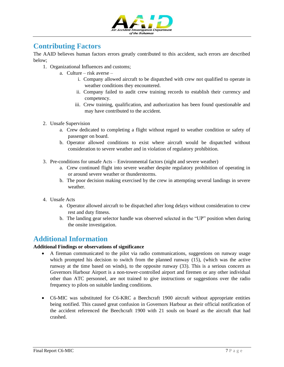

## **Contributing Factors**

The AAID believes human factors errors greatly contributed to this accident, such errors are described below;

- 1. Organizational Influences and customs;
	- a. Culture risk averse
		- i. Company allowed aircraft to be dispatched with crew not qualified to operate in weather conditions they encountered.
		- ii. Company failed to audit crew training records to establish their currency and competency.
		- iii. Crew training, qualification, and authorization has been found questionable and may have contributed to the accident.
- 2. Unsafe Supervision
	- a. Crew dedicated to completing a flight without regard to weather condition or safety of passenger on board.
	- b. Operator allowed conditions to exist where aircraft would be dispatched without consideration to severe weather and in violation of regulatory prohibition.
- 3. Pre-conditions for unsafe Acts Environmental factors (night and severe weather)
	- a. Crew continued flight into severe weather despite regulatory prohibition of operating in or around severe weather or thunderstorms.
	- b. The poor decision making exercised by the crew in attempting several landings in severe weather.
- 4. Unsafe Acts
	- a. Operator allowed aircraft to be dispatched after long delays without consideration to crew rest and duty fitness.
	- b. The landing gear selector handle was observed selected in the "UP" position when during the onsite investigation.

## **Additional Information**

#### **Additional Findings or observations of significance**

- A fireman communicated to the pilot via radio communications, suggestions on runway usage which prompted his decision to switch from the planned runway (15), (which was the active runway at the time based on winds), to the opposite runway (33). This is a serious concern as Governors Harbour Airport is a non-tower-controlled airport and firemen or any other individual other than ATC personnel, are not trained to give instructions or suggestions over the radio frequency to pilots on suitable landing conditions.
- C6-MIC was substituted for C6-KRC a Beechcraft 1900 aircraft without appropriate entities being notified. This caused great confusion in Governors Harbour as their official notification of the accident referenced the Beechcraft 1900 with 21 souls on board as the aircraft that had crashed.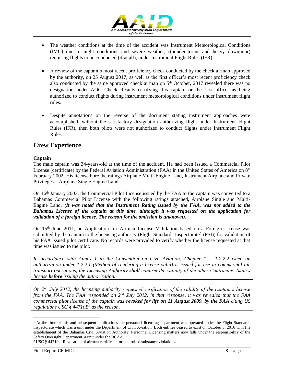

- The weather conditions at the time of the accident was Instrument Meteorological Conditions (IMC) due to night conditions and severe weather, (thunderstorms and heavy downpour) requiring flights to be conducted (if at all), under Instrument Flight Rules (IFR).
- A review of the captain's most recent proficiency check conducted by the check airman approved by the authority, on 25 August 2017, as well as the first officer's most recent proficiency check also conducted by the same approved check airman on  $5<sup>th</sup>$  October, 2017 revealed there was no designation under AOC Check Results certifying this captain or the first officer as being authorized to conduct flights during instrument meteorological conditions under instrument flight rules.
- Despite annotations on the reverse of the document stating instrument approaches were accomplished, without the satisfactory designation authorizing flight under Instrument Flight Rules (IFR), then both pilots were not authorized to conduct flights under Instrument Flight Rules.

#### **Crew Experience**

#### **Captain**

The male captain was 34-years-old at the time of the accident. He had been issued a Commercial Pilot License (certificate) by the Federal Aviation Administration (FAA) in the United States of America on  $8<sup>th</sup>$ February 2002. His license bore the ratings Airplane Multi-Engine Land, Instrument Airplane and Private Privileges – Airplane Single Engine Land.

On 16th January 2003, the Commercial Pilot License issued by the FAA to the captain was converted to a Bahamas Commercial Pilot License with the following ratings attached, Airplane Single and Multi-Engine Land. *(It was noted that the Instrument Rating issued by the FAA, was not added to the Bahamas License of the captain at this time, although it was requested on the application for validation of a foreign license. The reason for the omission is unknown).*

On 15<sup>th</sup> June 2011, an Application for Airman License Validation based on a Foreign License was submitted by the captain to the licensing authority (Flight Standards Inspectorate<sup>1</sup> (FSI)) for validation of his FAA issued pilot certificate. No records were provided to verify whether the license requested at that time was issued to the pilot.

*In accordance with Annex 1 to the Convention on Civil Aviation, Chapter 1, - 1.2.2.2 when an authorization under 1.2.2.1 (Method of rendering a license valid) is issued for use in commercial air transport operations, the Licensing Authority shall confirm the validity of the other Contracting State's license before issuing the authorization.*

*On 2nd July 2012, the licensing authority requested verification of the validity of the captain's license from the FAA. The FAA responded on 2nd July 2012, in that response, it was revealed that the FAA commercial pilot license of the captain was revoked for life on 11 August 2009, by the FAA citing US regulations USC § 44710B<sup>2</sup> as the reason.*

 $\overline{a}$ 

 $<sup>1</sup>$  At the time of this and subsequent applications the personnel licensing department was operated under the Flight Standards</sup> Inspectorate which was a unit under the Department of Civil Aviation. Both entities ceased to exist on October 3, 2016 with the establishment of the Bahamas Civil Aviation Authority. Personnel Licensing matters now falls under the responsibility of the Safety Oversight Department, a unit under the BCAA.

 $2$  USC § 44710 – Revocation of airman certificate for controlled substance violations.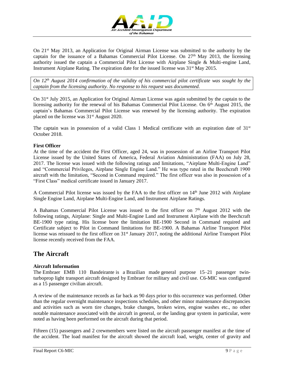

On 21st May 2013, an Application for Original Airman License was submitted to the authority by the captain for the issuance of a Bahamas Commercial Pilot License. On 27<sup>th</sup> May 2013, the licensing authority issued the captain a Commercial Pilot License with Airplane Single & Multi-engine Land, Instrument Airplane Rating. The expiration date for the issued license was  $31<sup>st</sup>$  May 2015.

*On 12th August 2014 confirmation of the validity of his commercial pilot certificate was sought by the captain from the licensing authority. No response to his request was documented.*

On 31st July 2015, an Application for Original Airman License was again submitted by the captain to the licensing authority for the renewal of his Bahamas Commercial Pilot License. On 6<sup>th</sup> August 2015, the captain's Bahamas Commercial Pilot License was renewed by the licensing authority. The expiration placed on the license was 31st August 2020.

The captain was in possession of a valid Class 1 Medical certificate with an expiration date of  $31<sup>st</sup>$ October 2018.

#### **First Officer**

At the time of the accident the First Officer, aged 24, was in possession of an Airline Transport Pilot License issued by the United States of America, Federal Aviation Administration (FAA) on July 28, 2017. The license was issued with the following ratings and limitations, "Airplane Multi-Engine Land" and "Commercial Privileges, Airplane Single Engine Land." He was type rated in the Beechcraft 1900 aircraft with the limitation, "Second in Command required." The first officer was also in possession of a "First Class" medical certificate issued in January 2017.

A Commercial Pilot license was issued by the FAA to the first officer on 14<sup>th</sup> June 2012 with Airplane Single Engine Land, Airplane Multi-Engine Land, and Instrument Airplane Ratings.

A Bahamas Commercial Pilot License was issued to the first officer on  $7<sup>th</sup>$  August 2012 with the following ratings, Airplane: Single and Multi-Engine Land and Instrument Airplane with the Beechcraft BE-1900 type rating. His license bore the limitation BE-1900 Second in Command required and Certificate subject to Pilot in Command limitations for BE-1900. A Bahamas Airline Transport Pilot license was reissued to the first officer on 31<sup>st</sup> January 2017, noting the additional Airline Transport Pilot license recently received from the FAA.

#### **The Aircraft**

#### **Aircraft Information**

The Embraer EMB 110 Bandeirante is a [Brazilian](https://en.wikipedia.org/wiki/Brazil) made general purpose 15–21 passenger twin[turboprop](https://en.wikipedia.org/wiki/Turboprop) light transport [aircraft](https://en.wikipedia.org/wiki/Aircraft) designed by [Embraer](https://en.wikipedia.org/wiki/Embraer) for [military](https://en.wikipedia.org/wiki/Military) and [civil](https://en.wikipedia.org/wiki/Civil_aviation) use. C6-MIC was configured as a 15 passenger civilian aircraft.

A review of the maintenance records as far back as 90 days prior to this occurrence was performed. Other than the regular overnight maintenance inspections schedules, and other minor maintenance discrepancies and activities such as worn tire changes, brake changes, broken wires, engine washes etc., no other notable maintenance associated with the aircraft in general, or the landing gear system in particular, were noted as having been performed on the aircraft during that period.

Fifteen (15) passengers and 2 crewmembers were listed on the aircraft passenger manifest at the time of the accident. The load manifest for the aircraft showed the aircraft load, weight, center of gravity and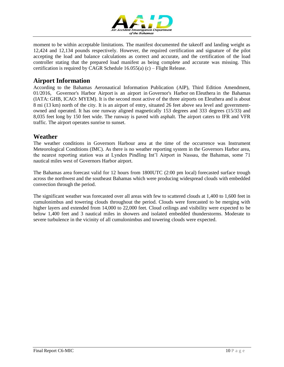

moment to be within acceptable limitations. The manifest documented the takeoff and landing weight as 12,424 and 12,134 pounds respectively. However, the required certification and signature of the pilot accepting the load and balance calculations as correct and accurate, and the certification of the load controller stating that the prepared load manifest as being complete and accurate was missing. This certification is required by CAGR Schedule  $16.055(a)$  (c) – Flight Release.

#### **Airport Information**

According to the Bahamas Aeronautical Information Publication (AIP), Third Edition Amendment, 01/2016, Governor's Harbor Airport is an airport in [Governor's Harbor](https://en.wikipedia.org/wiki/Governor%27s_Harbour) on [Eleuthera](https://en.wikipedia.org/wiki/Eleuthera) in the Bahamas (IATA: GHB, ICAO: MYEM). It is the second most active of the three airports on Eleuthera and is about 8 mi (13 km) north of the city. It is an airport of entry, situated 26 feet above sea level and governmentowned and operated. It has one runway aligned magnetically 153 degrees and 333 degrees (15/33) and 8,035 feet long by 150 feet wide. The runway is paved with asphalt. The airport caters to IFR and VFR traffic. The airport operates sunrise to sunset.

#### **Weather**

The weather conditions in Governors Harbour area at the time of the occurrence was Instrument Meteorological Conditions (IMC). As there is no weather reporting system in the Governors Harbor area, the nearest reporting station was at Lynden Pindling Int'l Airport in Nassau, the Bahamas, some 71 nautical miles west of Governors Harbor airport.

The Bahamas area forecast valid for 12 hours from 1800UTC (2:00 pm local) forecasted surface trough across the northwest and the southeast Bahamas which were producing widespread clouds with embedded convection through the period.

The significant weather was forecasted over all areas with few to scattered clouds at 1,400 to 1,600 feet in cumulonimbus and towering clouds throughout the period. Clouds were forecasted to be merging with higher layers and extended from 14,000 to 22,000 feet. Cloud ceilings and visibility were expected to be below 1,400 feet and 3 nautical miles in showers and isolated embedded thunderstorms. Moderate to severe turbulence in the vicinity of all cumulonimbus and towering clouds were expected.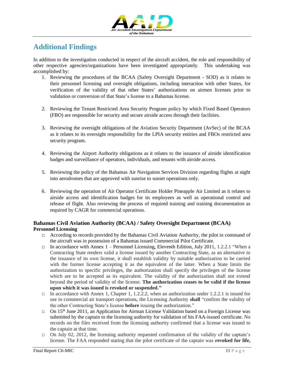

## **Additional Findings**

In addition to the investigation conducted in respect of the aircraft accident, the role and responsibility of other respective agencies/organizations have been investigated appropriately. This undertaking was accomplished by:

- 1. Reviewing the procedures of the BCAA (Safety Oversight Department SOD) as it relates to their personnel licensing and oversight obligations, including interaction with other States, for verification of the validity of that other States' authorizations on airmen licenses prior to validation or conversion of that State's license to a Bahamas license.
- 2. Reviewing the Tenant Restricted Area Security Program policy by which Fixed Based Operators (FBO) are responsible for security and secure airside access through their facilities.
- 3. Reviewing the oversight obligations of the Aviation Security Department (AvSec) of the BCAA as it relates to its oversight responsibility for the LPIA security entities and FBOs restricted area security program.
- 4. Reviewing the Airport Authority obligations as it relates to the issuance of airside identification badges and surveillance of operators, individuals, and tenants with airside access.
- 5. Reviewing the policy of the Bahamas Air Navigation Services Division regarding flights at night into aerodromes that are approved with sunrise to sunset operations only.
- 6. Reviewing the operation of Air Operator Certificate Holder Pineapple Air Limited as it relates to airside access and identification badges for its employees as well as operational control and release of flight. Also reviewing the process of required training and training documentation as required by CAGR for commercial operations.

#### **Bahamas Civil Aviation Authority (BCAA) / Safety Oversight Department (BCAA) Personnel Licensing**

- $\Box$  According to records provided by the Bahamas Civil Aviation Authority, the pilot in command of the aircraft was in possession of a Bahamas issued Commercial Pilot Certificate.
- $\Box$  In accordance with Annex 1 Personnel Licensing, Eleventh Edition, July 2011, 1.2.2.1 "When a Contracting State renders valid a license issued by another Contracting State, as an alternative to the issuance of its own license, it shall establish validity by suitable authorization to be carried with the former license accepting it as the equivalent of the latter. When a State limits the authorization to specific privileges, the authorization shall specify the privileges of the license which are to be accepted as its equivalent. The validity of the authorization shall not extend beyond the period of validity of the license. **The authorization ceases to be valid if the license upon which it was issued is revoked or suspended."**
- $\Box$  In accordance with Annex 1, Chapter 1, 1.2.2.2, when an authorization under 1.2.2.1 is issued for use in commercial air transport operations, the Licensing Authority **shall** "confirm the validity of the other Contracting State's license **before** issuing the authorization."
- □ On 15<sup>th</sup> June 2011, an Application for Airman License Validation based on a Foreign License was submitted by the captain to the licensing authority for validation of his FAA-issued certificate. No records on the files received from the licensing authority confirmed that a license was issued to the captain at that time.
- $\Box$  On July 02, 2012, the licensing authority requested confirmation of the validity of the captain's license. The FAA responded stating that the pilot certificate of the captain was **revoked for life,**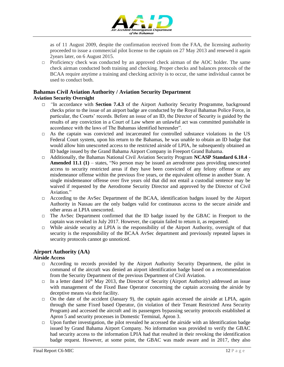

as of 11 August 2009, despite the confirmation received from the FAA, the licensing authority proceeded to issue a commercial pilot license to the captain on 27 May 2013 and renewed it again 2years later, on 6 August 2015.

 $\Box$  Proficiency check was conducted by an approved check airman of the AOC holder. The same check airman conducted both training and checking. Proper checks and balances protocols of the BCAA require anytime a training and checking activity is to occur, the same individual cannot be used to conduct both.

#### **Bahamas Civil Aviation Authority / Aviation Security Department Aviation Security Oversight**

- □ *"*In accordance with **Section 7.4.3** of the Airport Authority Security Programme, background checks prior to the issue of an airport badge are conducted by the Royal Bahamas Police Force, in particular, the Courts' records. Before an issue of an ID, the Director of Security is guided by the results of any conviction in a Court of Law where an unlawful act was committed punishable in accordance with the laws of The Bahamas identified hereunder".
- $\Box$  As the captain was convicted and incarcerated for controlled substance violations in the US Federal Court system, upon his return to the Bahamas, he was unable to obtain an ID badge that would allow him unescorted access to the restricted airside of LPIA, he subsequently obtained an ID badge issued by the Grand Bahama Airport Company in Freeport Grand Bahama.
- □ Additionally, the Bahamas National Civil Aviation Security Program **NCASP Standard 6.10.4**  Amended 11.1 (1) – states, "No person may be issued an aerodrome pass providing unescorted access to security restricted areas if they have been convicted of any felony offense or any misdemeanor offense within the previous five years, or the equivalent offense in another State. A single misdemeanor offense over five years old that did not entail a custodial sentence may be waived if requested by the Aerodrome Security Director and approved by the Director of Civil Aviation<sup>"</sup>
- $\Box$  According to the AvSec Department of the BCAA, identification badges issued by the Airport Authority in Nassau are the only badges valid for continuous access to the secure airside and other areas at LPIA unescorted.
- $\Box$  The AvSec Department confirmed that the ID badge issued by the GBAC in Freeport to the captain was revoked in July 2017. However, the captain failed to return it, as requested.
- $\Box$  While airside security at LPIA is the responsibility of the Airport Authority, oversight of that security is the responsibility of the BCAA AvSec department and previously repeated lapses in security protocols cannot go unnoticed.

#### **Airport Authority (AA)**

#### **Airside Access**

- □ According to records provided by the Airport Authority Security Department, the pilot in command of the aircraft was denied an airport identification badge based on a recommendation from the Security Department of the previous Department of Civil Aviation.
- $\Box$  In a letter dated 16<sup>th</sup> May 2013, the Director of Security (Airport Authority) addressed an issue with management of the Fixed Base Operator concerning the captain accessing the airside by deceptive means via their facility.
- $\Box$  On the date of the accident (January 9), the captain again accessed the airside at LPIA, again through the same Fixed based Operator, (in violation of their Tenant Restricted Area Security Program) and accessed the aircraft and its passengers bypassing security protocols established at Apron 5 and security processes in Domestic Terminal, Apron 3.
- $\Box$  Upon further investigation, the pilot revealed he accessed the airside with an Identification badge issued by Grand Bahama Airport Company. No information was provided to verify the GBAC had security access to the information LPIA had that resulted in their revoking the identification badge request. However, at some point, the GBAC was made aware and in 2017, they also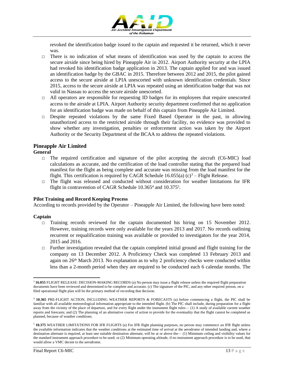

revoked the identification badge issued to the captain and requested it be returned, which it never was.

- $\Box$  There is no indication of what means of identification was used by the captain to access the secure airside since being hired by Pineapple Air in 2012. Airport Authority security at the LPIA had revoked his identification badge application in 2013. The captain applied for and was issued an identification badge by the GBAC in 2015. Therefore between 2012 and 2015, the pilot gained access to the secure airside at LPIA unescorted with unknown identification credentials. Since 2015, access to the secure airside at LPIA was repeated using an identification badge that was not valid in Nassau to access the secure airside unescorted.
- $\Box$  All operators are responsible for requesting ID badges for its employees that require unescorted access to the airside at LPIA. Airport Authority security department confirmed that no application for an identification badge was made on behalf of this captain from Pineapple Air Limited.
- $\Box$  Despite repeated violations by the same Fixed Based Operator in the past, in allowing unauthorized access to the restricted airside through their facility, no evidence was provided to show whether any investigation, penalties or enforcement action was taken by the Airport Authority or the Security Department of the BCAA to address the repeated violations.

#### **Pineapple Air Limited**

#### **General**

- □ The required certification and signature of the pilot accepting the aircraft (C6-MIC) load calculations as accurate, and the certification of the load controller stating that the prepared load manifest for the flight as being complete and accurate was missing from the load manifest for the flight. This certification is required by CAGR Schedule 16.055(a) (c)<sup>3</sup> – Flight Release.
- $\Box$  The flight was released and conducted without consideration for weather limitations for IFR flight in contravention of CAGR Schedule 10.365<sup>4</sup> and 10.375<sup>5</sup>.

#### **Pilot Training and Record Keeping Process**

According to records provided by the Operator – Pineapple Air Limited, the following have been noted:

#### **Captain**

- $\Box$  Training records reviewed for the captain documented his hiring on 15 November 2012. However, training records were only available for the years 2013 and 2017. No records outlining recurrent or requalification training was available or provided to investigators for the year 2014, 2015 and 2016.
- $\Box$  Further investigation revealed that the captain completed initial ground and flight training for the company on 13 December 2012. A Proficiency Check was completed 13 February 2013 and again on  $26<sup>th</sup>$  March 2013. No explanation as to why 2 proficiency checks were conducted within less than a 2-month period when they are required to be conducted each 6 calendar months. The

 $\overline{a}$ <sup>3</sup> **16.055** FLIGHT RELEASE: DECISION-MAKING RECORDS (a) No person may issue a flight release unless the required flight preparation documents have been reviewed and determined to be complete and accurate. (c) The signature of the PIC, and any other required person, on a filed operational flight plan will be the primary method of recording that decision.

<sup>4</sup> **10.365** PRE-FLIGHT ACTION, INCLUDING WEATHER REPORTS & FORECASTS (a) before commencing a flight, the PIC shall be familiar with all available meteorological information appropriate to the intended flight. (b) The PIC shall include, during preparation for a flight away from the vicinity of the place of departure, and for every flight under the instrument flight rules— (1) A study of available current weather reports and forecasts; and (2) The planning of an alternative course of action to provide for the eventuality that the flight cannot be completed as planned, because of weather conditions.

<sup>5</sup> **10.375** WEATHER LIMITATIONS FOR IFR FLIGHTS (a) For IFR flight planning purposes, no person may commence an IFR flight unless the available information indicates that the weather conditions at the estimated time of arrival at the aerodrome of intended landing and, where a destination alternate is required, at least one suitable destination alternate, will be at or above the— (1) Minimum ceiling and visibility values for the standard instrument approach procedure to be used; or (2) Minimum operating altitude, if no instrument approach procedure is to be used, that would allow a VMC decent to the aerodrome.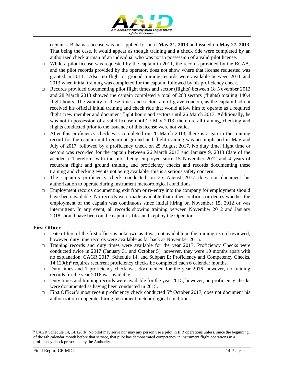

captain's Bahamas license was not applied for until **May 21, 2013** and issued on **May 27, 2013**. That being the case, it would appear as though training and a check ride were completed by an authorized check airman of an individual who was not in possession of a valid pilot license.

- $\Box$  While a pilot license was requested by the captain in 2011, the records provided by the BCAA, and the pilot records provided by the operator, does not show where that license requested was granted in 2011. Also, no flight or ground training records were available between 2011 and 2013 when initial training was completed for the captain, followed by his proficiency check.
- $\Box$  Records provided documenting pilot flight times and sector (flights) between 18 November 2012 and 28 March 2013 showed the captain completed a total of 268 sectors (flights) totaling 140.4 flight hours. The validity of these times and sectors are of grave concern, as the captain had not received his official initial training and check ride that would allow him to operate as a required flight crew member and document flight hours and sectors until 26 March 2013. Additionally, he was not in possession of a valid license until 27 May 2013, therefore all training, checking and flights conducted prior to the issuance of this license were not valid.
- □ After this proficiency check was completed on 26 March 2013, there is a gap in the training record for the captain until recurrent ground and flight training was accomplished in May and July of 2017, followed by a proficiency check on 25 August 2017. No duty time, flight time or sectors was recorded for the captain between 26 March 2013 and January 9, 2018 (date of the accident). Therefore, with the pilot being employed since 15 November 2012 and 4 years of recurrent flight and ground training and proficiency checks and records documenting these training and checking events not being available, this is a serious safety concern.
- $\Box$  The captain's proficiency check conducted on 25 August 2017 does not document his authorization to operate during instrument meteorological conditions.
- $\Box$  Employment records documenting exit from or re-entry into the company for employment should have been available. No records were made available that either confirms or denies whether the employment of the captain was continuous since initial hiring on November 15, 2012 or was intermittent. In any event, all records showing training between November 2012 and January 2018 should have been on the captain's files and kept by the Operator.

#### **First Officer**

- $\Box$  Date of hire of the first officer is unknown as it was not available in the training record reviewed, however, duty time records were available as far back as November 2015.
- $\Box$  Training records and duty times were available for the year 2017. Proficiency Checks were conducted twice in 2017 (January 31 and October 5), however, they were 10 months apart with no explanation. CAGR 2017, Schedule 14, and Subpart E: Proficiency and Competency Checks, 14.120(b)<sup>6</sup> requires recurrent proficiency checks be completed each 6 calendar months.
- $\Box$  Duty times and 1 proficiency check was documented for the year 2016, however, no training records for the year 2016 was available.
- □ Duty times and training records were available for the year 2015; however, no proficiency checks were documented as having been conducted in 2015.
- $\Box$  First Officer's most recent proficiency check conducted 5<sup>th</sup> October 2017, does not document his authorization to operate during instrument meteorological conditions.

 $\overline{a}$ 

<sup>6</sup> CAGR Schedule 14, 14.120(b) No pilot may serve nor may any person use a pilot in IFR operations unless, since the beginning of the 6th calendar month before that service, that pilot has demonstrated competency in instrument flight operations in a proficiency check prescribed by the Authority.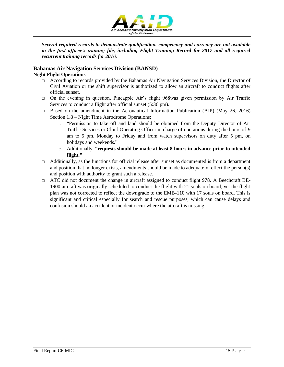

*Several required records to demonstrate qualification, competency and currency are not available in the first officer's training file, including Flight Training Record for 2017 and all required recurrent training records for 2016.*

## **Bahamas Air Navigation Services Division (BANSD)**

#### **Night Flight Operations**

- $\Box$  According to records provided by the Bahamas Air Navigation Services Division, the Director of Civil Aviation or the shift supervisor is authorized to allow an aircraft to conduct flights after official sunset.
- □ On the evening in question, Pineapple Air's flight 968was given permission by Air Traffic Services to conduct a flight after official sunset (5:36 pm).
- $\Box$  Based on the amendment in the Aeronautical Information Publication (AIP) (May 26, 2016) Section 1.8 – Night Time Aerodrome Operations;
	- o "Permission to take off and land should be obtained from the Deputy Director of Air Traffic Services or Chief Operating Officer in charge of operations during the hours of 9 am to 5 pm, Monday to Friday and from watch supervisors on duty after 5 pm, on holidays and weekends."
	- o Additionally, "**requests should be made at least 8 hours in advance prior to intended flight."**
- $\Box$  Additionally, as the functions for official release after sunset as documented is from a department and position that no longer exists, amendments should be made to adequately reflect the person(s) and position with authority to grant such a release.
- □ ATC did not document the change in aircraft assigned to conduct flight 978. A Beechcraft BE-1900 aircraft was originally scheduled to conduct the flight with 21 souls on board, yet the flight plan was not corrected to reflect the downgrade to the EMB-110 with 17 souls on board. This is significant and critical especially for search and rescue purposes, which can cause delays and confusion should an accident or incident occur where the aircraft is missing.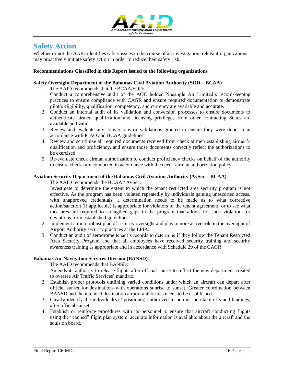

### **Safety Action**

Whether or not the AAID identifies safety issues in the course of an investigation, relevant organizations may proactively initiate safety action in order to reduce their safety risk.

#### **Recommendations Classified in this Report issued to the following organizations**

#### **Safety Oversight Department of the Bahamas Civil Aviation Authority (SOD – BCAA)**

The AAID recommends that the BCAA/SOD:

- 1. Conduct a comprehensive audit of the AOC holder Pineapple Air Limited's record-keeping practices to ensure compliance with CAGR and ensure required documentation to demonstrate pilot's eligibility, qualification, competency, and currency are available and accurate.
- 2. Conduct an internal audit of its validation and conversion processes to ensure documents to authenticate airmen qualification and licensing privileges from other contracting States are available and valid.
- 3. Review and evaluate any conversions or validations granted to ensure they were done so in accordance with ICAO and BCAA guidelines.
- 4. Review and scrutinize all required documents received from check airmen establishing airmen's qualification and proficiency, and ensure those documents correctly reflect the authorizations to be exercised.
- 5. Re-evaluate check airman authorization to conduct proficiency checks on behalf of the authority to ensure checks are conducted in accordance with the check airman authorization policy.

#### **Aviation Security Department of the Bahamas Civil Aviation Authority (AvSec – BCAA)**

The AAID recommends the BCAA / AvSec:

- 1. Investigate to determine the extent to which the tenant restricted area security program is not effective. As the program has been violated repeatedly by individuals gaining unescorted access, with unapproved credentials, a determination needs to be made as to what corrective action/sanction (if applicable) is appropriate for violators of the tenant agreement, or to see what measures are required to strengthen gaps in the program that allows for such violations or deviations from established guidelines.
- 2. Implement a more robust plan of security oversight and play a more active role in the oversight of Airport Authority security practices at the LPIA.
- 3. Conduct an audit of aerodrome tenant's records to determine if they follow the Tenant Restricted Area Security Program and that all employees have received security training and security awareness training as appropriate and in accordance with Schedule 29 of the CAGR.

#### **Bahamas Air Navigation Services Division (BANSD)**

The AAID recommends that BANSD:

- 1. Amends its authority to release flights after official sunset to reflect the new department created to oversee Air Traffic Services' mandate.
- 2. Establish proper protocols outlining varied conditions under which an aircraft can depart after official sunset for destinations with operations sunrise to sunset. Greater coordination between BANSD and the intended destination airport authorities needs to be established.
- 3. Clearly identify the individual(s) / position(s) authorized to permit such take-offs and landings, after official sunset.
- 4. Establish or reinforce procedures with its personnel to ensure that aircraft conducting flights using the "canned" flight plan system, accurate information is available about the aircraft and the souls on board.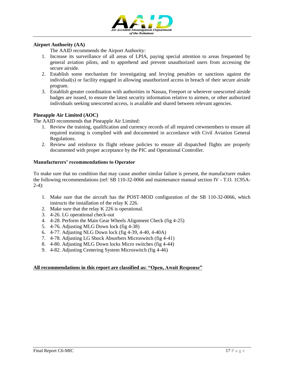

#### **Airport Authority (AA)**

The AAID recommends the Airport Authority:

- 1. Increase its surveillance of all areas of LPIA, paying special attention to areas frequented by general aviation pilots, and to apprehend and prevent unauthorized users from accessing the secure airside.
- 2. Establish some mechanism for investigating and levying penalties or sanctions against the individual(s) or facility engaged in allowing unauthorized access in breach of their secure airside program.
- 3. Establish greater coordination with authorities in Nassau, Freeport or wherever unescorted airside badges are issued, to ensure the latest security information relative to airmen, or other authorized individuals seeking unescorted access, is available and shared between relevant agencies.

#### **Pineapple Air Limited (AOC)**

The AAID recommends that Pineapple Air Limited:

- 1. Review the training, qualification and currency records of all required crewmembers to ensure all required training is complied with and documented in accordance with Civil Aviation General Regulations.
- 2. Review and reinforce its flight release policies to ensure all dispatched flights are properly documented with proper acceptance by the PIC and Operational Controller.

#### **Manufacturers' recommendations to Operator**

To make sure that no condition that may cause another similar failure is present, the manufacturer makes the following recommendations (ref: SB 110-32-0066 and maintenance manual section IV - T.O. 1C95A- $2-4$ :

- 1. Make sure that the aircraft has the POST-MOD configuration of the SB 110-32-0066, which instructs the installation of the relay K 226.
- 2. Make sure that the relay K 226 is operational.
- 3. 4-26. LG operational check-out
- 4. 4-28. Perform the Main Gear Wheels Alignment Check (fig 4-25)
- 5. 4-76. Adjusting MLG Down lock (fig 4-38)
- 6. 4-77. Adjusting NLG Down lock (fig 4-39, 4-40, 4-40A)
- 7. 4-78. Adjusting LG Shock Absorbers Microswitch (fig 4-41)
- 8. 4-80. Adjusting MLG Down locks Micro switches (fig 4-44)
- 9. 4-82. Adjusting Centering System Microswitch (fig 4-46)

#### **All recommendations in this report are classified as: "Open, Await Response"**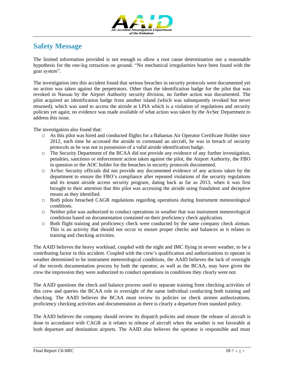

## **Safety Message**

The limited information provided is not enough to allow a root cause determination nor a reasonable hypothesis for the one-leg retraction on ground. "No mechanical irregularities have been found with the gear system".

The investigation into this accident found that serious breaches in security protocols were documented yet no action was taken against the perpetrators. Other than the identification badge for the pilot that was revoked in Nassau by the Airport Authority security division, no further action was documented. The pilot acquired an identification badge from another island (which was subsequently revoked but never returned), which was used to access the airside at LPIA which is a violation of regulations and security policies yet again; no evidence was made available of what action was taken by the AvSec Department to address this issue.

The investigation also found that:

- $\Box$  As this pilot was hired and conducted flights for a Bahamas Air Operator Certificate Holder since 2012, each time he accessed the airside to command an aircraft, he was in breach of security protocols as he was not in possession of a valid airside identification badge.
- □ The Security Department of the BCAA did not provide any evidence of any further investigation, penalties, sanctions or enforcement action taken against the pilot, the Airport Authority, the FBO in question or the AOC holder for the breaches in security protocols documented.
- □ AvSec Security officials did not provide any documented evidence of any actions taken by the department to ensure the FBO's compliance after repeated violations of the security regulations and its tenant airside access security program, dating back as far as 2013, when it was first brought to their attention that this pilot was accessing the airside using fraudulent and deceptive means as they identified.
- $\Box$  Both pilots breached CAGR regulations regarding operations during Instrument meteorological conditions.
- $\Box$  Neither pilot was authorized to conduct operations in weather that was instrument meteorological conditions based on documentation contained on their proficiency check application.
- $\Box$  Both flight training and proficiency check were conducted by the same company check airman. This is an activity that should not occur to ensure proper checks and balances as it relates to training and checking activities.

The AAID believes the heavy workload, coupled with the night and IMC flying in severe weather, to be a contributing factor in this accident. Coupled with the crew's qualification and authorizations to operate in weather determined to be instrument meteorological conditions, the AAID believes the lack of oversight of the records documentation process by both the operator, as well as the BCAA, may have given the crew the impression they were authorized to conduct operations in conditions they clearly were not.

The AAID questions the check and balance process used to separate training from checking activities of this crew and queries the BCAA role in oversight of the same individual conducting both training and checking. The AAID believes the BCAA must review its policies on check airmen authorizations, proficiency checking activities and documentation as there is clearly a departure from standard policy.

The AAID believes the company should review its dispatch policies and ensure the release of aircraft is done in accordance with CAGR as it relates to release of aircraft when the weather is not favorable at both departure and destination airports. The AAID also believes the operator is responsible and must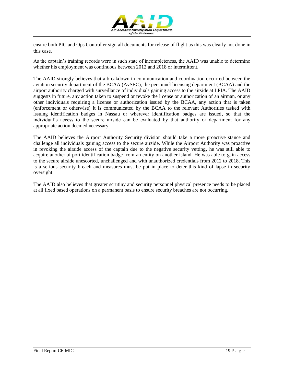

ensure both PIC and Ops Controller sign all documents for release of flight as this was clearly not done in this case.

As the captain's training records were in such state of incompleteness, the AAID was unable to determine whether his employment was continuous between 2012 and 2018 or intermittent.

The AAID strongly believes that a breakdown in communication and coordination occurred between the aviation security department of the BCAA (AvSEC), the personnel licensing department (BCAA) and the airport authority charged with surveillance of individuals gaining access to the airside at LPIA. The AAID suggests in future, any action taken to suspend or revoke the license or authorization of an airman, or any other individuals requiring a license or authorization issued by the BCAA, any action that is taken (enforcement or otherwise) it is communicated by the BCAA to the relevant Authorities tasked with issuing identification badges in Nassau or wherever identification badges are issued, so that the individual's access to the secure airside can be evaluated by that authority or department for any appropriate action deemed necessary.

The AAID believes the Airport Authority Security division should take a more proactive stance and challenge all individuals gaining access to the secure airside. While the Airport Authority was proactive in revoking the airside access of the captain due to the negative security vetting, he was still able to acquire another airport identification badge from an entity on another island. He was able to gain access to the secure airside unescorted, unchallenged and with unauthorized credentials from 2012 to 2018. This is a serious security breach and measures must be put in place to deter this kind of lapse in security oversight.

The AAID also believes that greater scrutiny and security personnel physical presence needs to be placed at all fixed based operations on a permanent basis to ensure security breaches are not occurring.